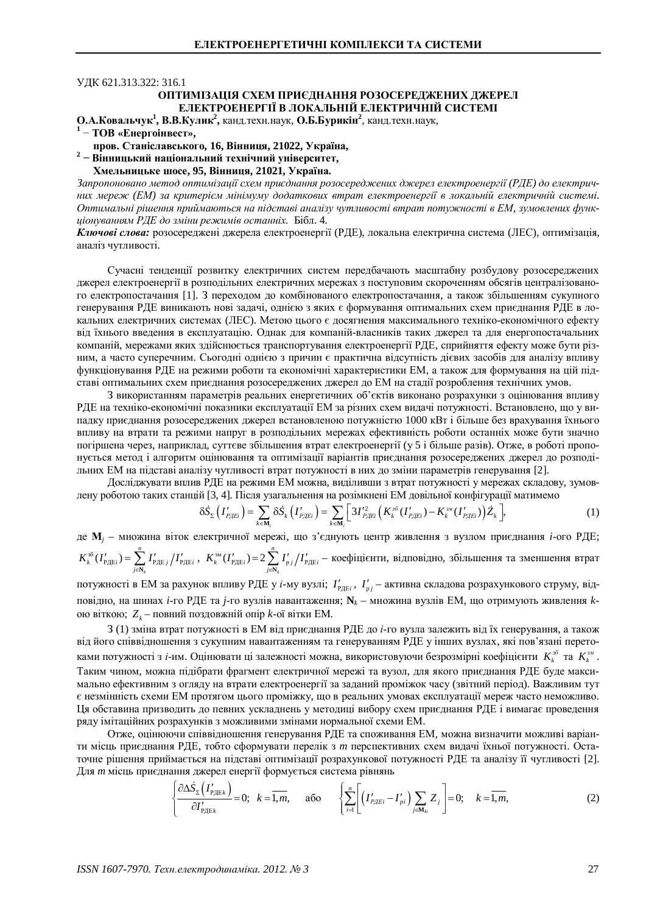## ɍȾɄ 621.313.322: 316.1

## ОПТИМІЗАЦІЯ СХЕМ ПРИЄДНАННЯ РОЗОСЕРЕДЖЕНИХ ДЖЕРЕЛ **ЕЛЕКТРОЕНЕРГІЇ В ЛОКАЛЬНІЙ ЕЛЕКТРИЧНІЙ СИСТЕМІ**

О.А.Ковальчук<sup>1</sup>, В.В.Кулик<sup>2</sup>, канд.техн.наук, О.Б.Бурикін<sup>2</sup>, канд.техн.наук,

1 – ТОВ «Енергоінвест»,

пров. Станіславського, 16, Вінниця, 21022, Україна,

<sup>2</sup> – Вінницький національний технічний університет,

## **ɏɦɟɥɶɧɢɰɶɤɟɲɨɫɟ, 95, ȼɿɧɧɢɰɹ, 21021, ɍɤɪɚʀɧɚ.**

Запропоновано метод оптимізації схем приєднання розосереджених джерел електроенергії (РДЕ) до електричних мереж (ЕМ) за критерієм мінімуму додаткових втрат електроенергії в локальній електричній системі. *ɈɩɬɢɦɚɥɶɧɿɪɿɲɟɧɧɹɩɪɢɣɦɚɸɬɶɫɹɧɚɩɿɞɫɬɚɜɿɚɧɚɥɿɡɭɱɭɬɥɢɜɨɫɬɿɜɬɪɚɬɩɨɬɭɠɧɨɫɬɿɜȿɆ, ɡɭɦɨɜɥɟɧɢɯɮɭɧɤɰɿɨɧɭɜɚɧɧɹɦɊȾȿɞɨɡɦɿɧɢɪɟɠɢɦɿɜɨɫɬɚɧɧɿɯ.* Ȼɿɛɥ. 4.

Ключові слова: розосереджені джерела електроенергії (РДЕ), локальна електрична система (ЛЕС), оптимізація, аналіз чутливості.

Сучасні тенденції розвитку електричних систем передбачають масштабну розбудову розосереджених джерел електроенергії в розподільних електричних мережах з поступовим скороченням обсягів централізованого електропостачання [1]. З переходом до комбінованого електропостачання, а також збільшенням сукупного генерування РДЕ виникають нові задачі, однією з яких є формування оптимальних схем приєднання РДЕ в локальних електричних системах (ЛЕС). Метою цього є досягнення максимального техніко-економічного ефекту віл їхнього ввелення в експлуатацію. Олнак для компаній-власників таких лжерел та для енергопостачальних компаній, мережами яких здійснюється транспортування електроенергії РДЕ, сприйняття ефекту може бути різним, а часто суперечним. Сьогодні однією з причин є практична відсутність дієвих засобів для аналізу впливу функціонування РДЕ на режими роботи та економічні характеристики ЕМ, а також для формування на цій підставі оптимальних схем приєднання розосереджених джерел до ЕМ на стадії розроблення технічних умов.

З використанням параметрів реальних енергетичних об'єктів виконано розрахунки з оцінювання впливу РДЕ на техніко-економічні показники експлуатації ЕМ за різних схем видачі потужності. Встановлено, що у випадку приєднання розосереджених джерел встановленою потужністю 1000 кВт і більше без врахування їхнього впливу на втрати та режими напруг в розподільних мережах ефективність роботи останніх може бути значно погіршена через, наприклад, суттєве збільшення втрат електроенергії (у 5 і більше разів). Отже, в роботі пропонується метод і алгоритм оцінювання та оптимізації варіантів приєднання розосереджених джерел до розподільних ЕМ на підставі аналізу чугливості втрат потужності в них до зміни параметрів генерування [2].

Досліджувати вплив РДЕ на режими ЕМ можна, виділивши з втрат потужності у мережах складову, зумовлену роботою таких станцій [3, 4]. Після узагальнення на розімкнені ЕМ довільної конфігурації матимемо

$$
\delta \dot{S}_{\Sigma} \left( I'_{P \text{AEi}} \right) = \sum_{k \in \mathbf{M}_{i}} \delta \dot{S}_{k} \left( I'_{P \text{AEi}} \right) = \sum_{k \in \mathbf{M}_{i}} \left[ 3 I'_{P \text{AEi}}^{2} \left( K_{k}^{36} \left( I'_{P \text{AEi}} \right) - K_{k}^{34} \left( I'_{P \text{AEi}} \right) \right) \dot{Z}_{k} \right], \tag{1}
$$

де M<sub>j</sub> – множина віток електричної мережі, що з'єднують центр живлення з вузлом приєднання *і*-ого РДЕ;  $\mathcal{L}_{\text{p}}^{36}(I_{\text{p},\text{He}i}') = \sum_{j\in\mathbf{N}_k}I_{\text{p},\text{He}j}'/I_{\text{p},\text{He}j}'$ *n*  $\mu$  **(***P*)(*<i>i*</sup>)  $\frac{1}{j \in \mathbb{N}_k}$ *i* P<sub></sub>)(*k*) *i* P<sub>*j*</sub> E*i*  $K_k^{\text{30}}(I'_{\text{PHE}i}) = \sum I'_{\text{PHE}i}/I$  $C_{\text{PAE}i}^{'}$ ) =  $\sum_{j\in\mathbf{N}_k} I'_{\text{PAE}j} / I'_{\text{PAE}i}$ ,  $K_k^{\text{3M}}(I'_{\text{PAE}i}) = 2 \sum_{j\in\mathbf{N}_k} I'_{\text{p}j} / I'_{\text{PAE}i}$ *n*  $\mu$  **i**  $\mu$   $\mu$ <sub>*j*e**N**<sub> $i$ </sub> *i*  $\mu$ <sub>*j*e**N**<sub> $i$ </sub> *j*  $\mu$ *j***<sub>***i***</sub> <b>***i*  $\mu$ <sub>*j*e**N**<sub> $i$ </sub> *i j*</sub></sub></sub>  $K_k^{\scriptscriptstyle 3M}(I'_{\rm PHEi}) = 2 \sum I'_{\rm n} / I$  $\gamma_{\text{R}}(k) = 2 \sum_{j \in \mathbb{N}_k} I'_{\text{p}j} \big/ I'_{\text{P},\text{R}}$ і — коефіцієнти, відповідно, збільшення та зменшення втрат

потужності в ЕМ за рахунок впливу РДЕ у *і*-му вузлі; *І'<sub>рдеі</sub>*, *І'<sub>рј</sub>* – активна складова розрахункового струму, відповідно, на шинах *і*-го РДЕ та *ј*-го вузлів навантаження;  $\mathbf{N}_k$  – множина вузлів ЕМ, що отримують живлення *k*ою віткою;  $Z_k$ – повний поздовжній опір  $k$ -ої вітки ЕМ.

З (1) зміна втрат потужності в ЕМ від приєднання РДЕ до *і*-го вузла залежить від їх генерування, а також від його співвідношення з сукупним навантаженням та генеруванням РДЕ у інших вузлах, які пов'язані перетоками потужності з *і*-им. Оцінювати ці залежності можна, використовуючи безрозмірні коефіцієнти  $K_k^{\scriptscriptstyle\#}$  та  $K_k^{\scriptscriptstyle\#}$ . Таким чином, можна підібрати фрагмент електричної мережі та вузол, для якого приєднання РДЕ буде максимально ефективним з огляду на втрати електроенергії за заданий проміжок часу (звітний період). Важливим тут  $\epsilon$  незмінність схеми ЕМ протягом цього проміжку, що в реальних умовах експлуатації мереж часто неможливо. Ця обставина призводить до певних ускладнень у методиці вибору схем приєднання РДЕ і вимагає проведення ряду імітаційних розрахунків з можливими змінами нормальної схеми ЕМ.

Отже, оцінюючи співвідношення генерування РДЕ та споживання ЕМ, можна визначити можливі варіанти місць приєднання РДЕ, тобто сформувати перелік з *m* перспективних схем видачі їхньої потужності. Остаточне рішення приймається на підставі оптимізації розрахункової потужності РДЕ та аналізу її чутливості [2]. Для *m* місць приєднання джерел енергії формується система рівнянь

$$
\left\{\frac{\partial \Delta \dot{S}_{\Sigma}\left(I'_{\text{P,HE}}\right)}{\partial I'_{\text{P,HE}}}=0;\ \ k=\overline{1,m},\qquad\text{afo}\qquad\left\{\sum_{i=1}^{n}\left[\left(I'_{\text{P,HE}}-I'_{\text{pi}}\right)\sum_{j\in\mathbf{M}_{ki}}Z_{j}\right]=0;\quad k=\overline{1,m},\right\}
$$
(2)